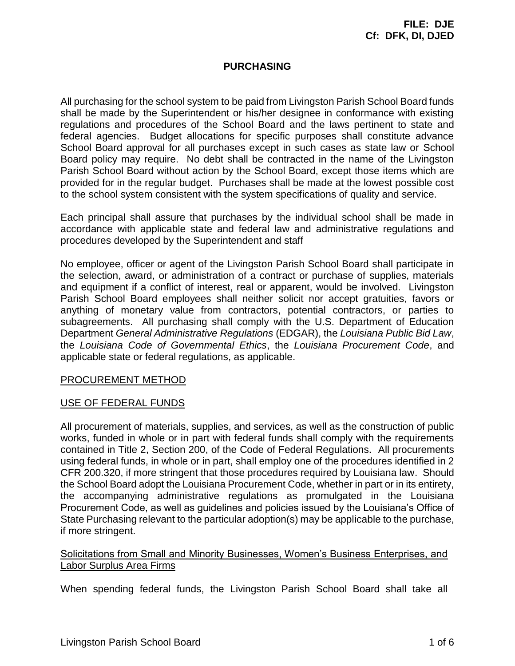# **PURCHASING**

All purchasing for the school system to be paid from Livingston Parish School Board funds shall be made by the Superintendent or his/her designee in conformance with existing regulations and procedures of the School Board and the laws pertinent to state and federal agencies. Budget allocations for specific purposes shall constitute advance School Board approval for all purchases except in such cases as state law or School Board policy may require. No debt shall be contracted in the name of the Livingston Parish School Board without action by the School Board, except those items which are provided for in the regular budget. Purchases shall be made at the lowest possible cost to the school system consistent with the system specifications of quality and service.

Each principal shall assure that purchases by the individual school shall be made in accordance with applicable state and federal law and administrative regulations and procedures developed by the Superintendent and staff

No employee, officer or agent of the Livingston Parish School Board shall participate in the selection, award, or administration of a contract or purchase of supplies, materials and equipment if a conflict of interest, real or apparent, would be involved. Livingston Parish School Board employees shall neither solicit nor accept gratuities, favors or anything of monetary value from contractors, potential contractors, or parties to subagreements. All purchasing shall comply with the U.S. Department of Education Department *General Administrative Regulations* (EDGAR), the *Louisiana Public Bid Law*, the *Louisiana Code of Governmental Ethics*, the *Louisiana Procurement Code*, and applicable state or federal regulations, as applicable.

## PROCUREMENT METHOD

## USE OF FEDERAL FUNDS

All procurement of materials, supplies, and services, as well as the construction of public works, funded in whole or in part with federal funds shall comply with the requirements contained in Title 2, Section 200, of the Code of Federal Regulations. All procurements using federal funds, in whole or in part, shall employ one of the procedures identified in 2 CFR 200.320, if more stringent that those procedures required by Louisiana law. Should the School Board adopt the Louisiana Procurement Code, whether in part or in its entirety, the accompanying administrative regulations as promulgated in the Louisiana Procurement Code, as well as guidelines and policies issued by the Louisiana's Office of State Purchasing relevant to the particular adoption(s) may be applicable to the purchase, if more stringent.

## Solicitations from Small and Minority Businesses, Women's Business Enterprises, and Labor Surplus Area Firms

When spending federal funds, the Livingston Parish School Board shall take all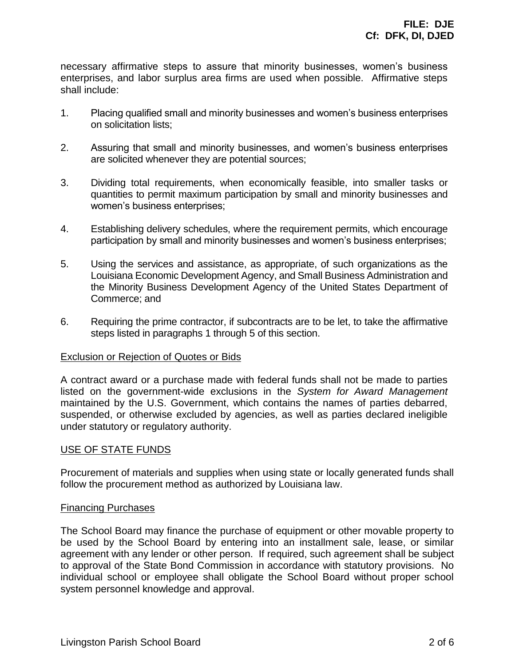necessary affirmative steps to assure that minority businesses, women's business enterprises, and labor surplus area firms are used when possible. Affirmative steps shall include:

- 1. Placing qualified small and minority businesses and women's business enterprises on solicitation lists;
- 2. Assuring that small and minority businesses, and women's business enterprises are solicited whenever they are potential sources;
- 3. Dividing total requirements, when economically feasible, into smaller tasks or quantities to permit maximum participation by small and minority businesses and women's business enterprises;
- 4. Establishing delivery schedules, where the requirement permits, which encourage participation by small and minority businesses and women's business enterprises;
- 5. Using the services and assistance, as appropriate, of such organizations as the Louisiana Economic Development Agency, and Small Business Administration and the Minority Business Development Agency of the United States Department of Commerce; and
- 6. Requiring the prime contractor, if subcontracts are to be let, to take the affirmative steps listed in paragraphs 1 through 5 of this section.

## Exclusion or Rejection of Quotes or Bids

A contract award or a purchase made with federal funds shall not be made to parties listed on the government-wide exclusions in the *System for Award Management* maintained by the U.S. Government, which contains the names of parties debarred, suspended, or otherwise excluded by agencies, as well as parties declared ineligible under statutory or regulatory authority.

## USE OF STATE FUNDS

Procurement of materials and supplies when using state or locally generated funds shall follow the procurement method as authorized by Louisiana law.

### Financing Purchases

The School Board may finance the purchase of equipment or other movable property to be used by the School Board by entering into an installment sale, lease, or similar agreement with any lender or other person. If required, such agreement shall be subject to approval of the State Bond Commission in accordance with statutory provisions. No individual school or employee shall obligate the School Board without proper school system personnel knowledge and approval.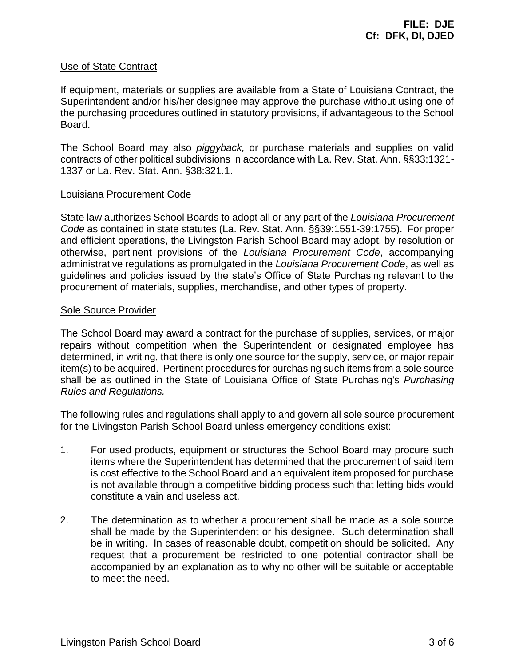### Use of State Contract

If equipment, materials or supplies are available from a State of Louisiana Contract, the Superintendent and/or his/her designee may approve the purchase without using one of the purchasing procedures outlined in statutory provisions, if advantageous to the School Board.

The School Board may also *piggyback,* or purchase materials and supplies on valid contracts of other political subdivisions in accordance with La. Rev. Stat. Ann. §§33:1321- 1337 or La. Rev. Stat. Ann. §38:321.1.

### Louisiana Procurement Code

State law authorizes School Boards to adopt all or any part of the *Louisiana Procurement Code* as contained in state statutes (La. Rev. Stat. Ann. §§39:1551-39:1755). For proper and efficient operations, the Livingston Parish School Board may adopt, by resolution or otherwise, pertinent provisions of the *Louisiana Procurement Code*, accompanying administrative regulations as promulgated in the *Louisiana Procurement Code*, as well as guidelines and policies issued by the state's Office of State Purchasing relevant to the procurement of materials, supplies, merchandise, and other types of property.

### Sole Source Provider

The School Board may award a contract for the purchase of supplies, services, or major repairs without competition when the Superintendent or designated employee has determined, in writing, that there is only one source for the supply, service, or major repair item(s) to be acquired. Pertinent procedures for purchasing such items from a sole source shall be as outlined in the State of Louisiana Office of State Purchasing's *Purchasing Rules and Regulations.*

The following rules and regulations shall apply to and govern all sole source procurement for the Livingston Parish School Board unless emergency conditions exist:

- 1. For used products, equipment or structures the School Board may procure such items where the Superintendent has determined that the procurement of said item is cost effective to the School Board and an equivalent item proposed for purchase is not available through a competitive bidding process such that letting bids would constitute a vain and useless act.
- 2. The determination as to whether a procurement shall be made as a sole source shall be made by the Superintendent or his designee. Such determination shall be in writing. In cases of reasonable doubt, competition should be solicited. Any request that a procurement be restricted to one potential contractor shall be accompanied by an explanation as to why no other will be suitable or acceptable to meet the need.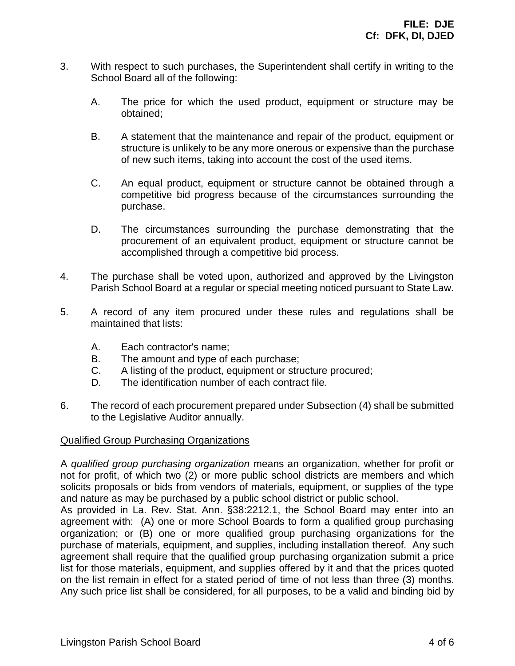- 3. With respect to such purchases, the Superintendent shall certify in writing to the School Board all of the following:
	- A. The price for which the used product, equipment or structure may be obtained;
	- B. A statement that the maintenance and repair of the product, equipment or structure is unlikely to be any more onerous or expensive than the purchase of new such items, taking into account the cost of the used items.
	- C. An equal product, equipment or structure cannot be obtained through a competitive bid progress because of the circumstances surrounding the purchase.
	- D. The circumstances surrounding the purchase demonstrating that the procurement of an equivalent product, equipment or structure cannot be accomplished through a competitive bid process.
- 4. The purchase shall be voted upon, authorized and approved by the Livingston Parish School Board at a regular or special meeting noticed pursuant to State Law.
- 5. A record of any item procured under these rules and regulations shall be maintained that lists:
	- A. Each contractor's name;
	- B. The amount and type of each purchase;
	- C. A listing of the product, equipment or structure procured;
	- D. The identification number of each contract file.
- 6. The record of each procurement prepared under Subsection (4) shall be submitted to the Legislative Auditor annually.

## Qualified Group Purchasing Organizations

A *qualified group purchasing organization* means an organization, whether for profit or not for profit, of which two (2) or more public school districts are members and which solicits proposals or bids from vendors of materials, equipment, or supplies of the type and nature as may be purchased by a public school district or public school.

As provided in La. Rev. Stat. Ann. §38:2212.1, the School Board may enter into an agreement with: (A) one or more School Boards to form a qualified group purchasing organization; or (B) one or more qualified group purchasing organizations for the purchase of materials, equipment, and supplies, including installation thereof. Any such agreement shall require that the qualified group purchasing organization submit a price list for those materials, equipment, and supplies offered by it and that the prices quoted on the list remain in effect for a stated period of time of not less than three (3) months. Any such price list shall be considered, for all purposes, to be a valid and binding bid by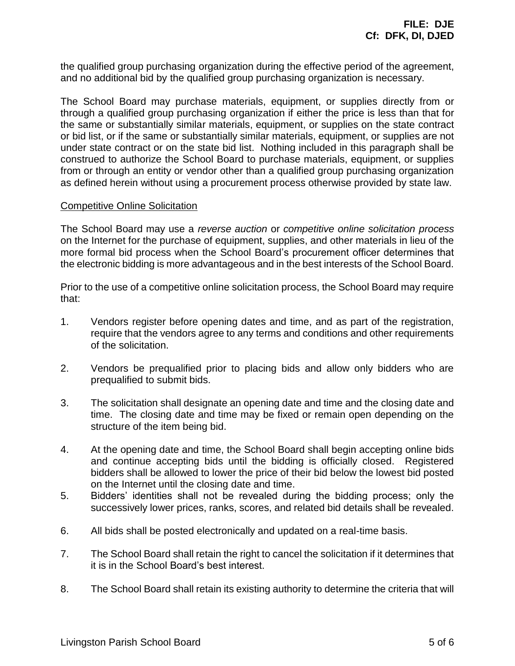the qualified group purchasing organization during the effective period of the agreement, and no additional bid by the qualified group purchasing organization is necessary.

The School Board may purchase materials, equipment, or supplies directly from or through a qualified group purchasing organization if either the price is less than that for the same or substantially similar materials, equipment, or supplies on the state contract or bid list, or if the same or substantially similar materials, equipment, or supplies are not under state contract or on the state bid list. Nothing included in this paragraph shall be construed to authorize the School Board to purchase materials, equipment, or supplies from or through an entity or vendor other than a qualified group purchasing organization as defined herein without using a procurement process otherwise provided by state law.

### Competitive Online Solicitation

The School Board may use a *reverse auction* or *competitive online solicitation process* on the Internet for the purchase of equipment, supplies, and other materials in lieu of the more formal bid process when the School Board's procurement officer determines that the electronic bidding is more advantageous and in the best interests of the School Board.

Prior to the use of a competitive online solicitation process, the School Board may require that:

- 1. Vendors register before opening dates and time, and as part of the registration, require that the vendors agree to any terms and conditions and other requirements of the solicitation.
- 2. Vendors be prequalified prior to placing bids and allow only bidders who are prequalified to submit bids.
- 3. The solicitation shall designate an opening date and time and the closing date and time. The closing date and time may be fixed or remain open depending on the structure of the item being bid.
- 4. At the opening date and time, the School Board shall begin accepting online bids and continue accepting bids until the bidding is officially closed. Registered bidders shall be allowed to lower the price of their bid below the lowest bid posted on the Internet until the closing date and time.
- 5. Bidders' identities shall not be revealed during the bidding process; only the successively lower prices, ranks, scores, and related bid details shall be revealed.
- 6. All bids shall be posted electronically and updated on a real-time basis.
- 7. The School Board shall retain the right to cancel the solicitation if it determines that it is in the School Board's best interest.
- 8. The School Board shall retain its existing authority to determine the criteria that will